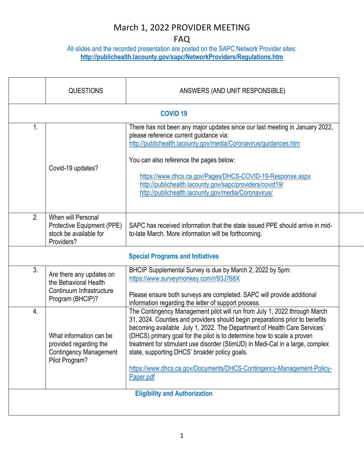#### FAQ

All slides and the recorded presentation are posted on the SAPC Network Provider sites: **<http://publichealth.lacounty.gov/sapc/NetworkProviders/Regulations.htm>**

|                                                                                                      | <b>COVID 19</b>                                                                                                                                                                                                                                                                                                                                                                                                                                                                                                                          |  |  |  |  |
|------------------------------------------------------------------------------------------------------|------------------------------------------------------------------------------------------------------------------------------------------------------------------------------------------------------------------------------------------------------------------------------------------------------------------------------------------------------------------------------------------------------------------------------------------------------------------------------------------------------------------------------------------|--|--|--|--|
| Covid-19 updates?                                                                                    | There has not been any major updates since our last meeting in January 2022,<br>please reference current guidance via:<br>http://publichealth.lacounty.gov/media/Coronavirus/guidances.htm<br>You can also reference the pages below:<br>https://www.dhcs.ca.gov/Pages/DHCS-COVID-19-Response.aspx<br>http://publichealth.lacounty.gov/sapc/providers/covid19/<br>http://publichealth.lacounty.gov/media/Coronavirus/                                                                                                                    |  |  |  |  |
| When will Personal<br>Protective Equipment (PPE)<br>stock be available for                           | SAPC has received information that the state issued PPE should arrive in mid-<br>to-late March. More information will be forthcoming.                                                                                                                                                                                                                                                                                                                                                                                                    |  |  |  |  |
| <b>Special Programs and Initiatives</b>                                                              |                                                                                                                                                                                                                                                                                                                                                                                                                                                                                                                                          |  |  |  |  |
| Are there any updates on<br>the Behavioral Health<br>Continuum Infrastructure<br>Program (BHCIP)?    | BHCIP Supplemental Survey is due by March 2, 2022 by 5pm:<br>https://www.surveymonkey.com/r/93J768X<br>Please ensure both surveys are completed. SAPC will provide additional<br>information regarding the letter of support process.                                                                                                                                                                                                                                                                                                    |  |  |  |  |
| What information can be<br>provided regarding the<br><b>Contingency Management</b><br>Pilot Program? | The Contingency Management pilot will run from July 1, 2022 through March<br>31, 2024. Counties and providers should begin preparations prior to benefits<br>becoming available July 1, 2022. The Department of Health Care Services'<br>(DHCS) primary goal for the pilot is to determine how to scale a proven<br>treatment for stimulant use disorder (StimUD) in Medi-Cal in a large, complex<br>state, supporting DHCS' broader policy goals.<br>https://www.dhcs.ca.gov/Documents/DHCS-Contingency-Management-Policy-<br>Paper.pdf |  |  |  |  |
| <b>Eligibility and Authorization</b>                                                                 |                                                                                                                                                                                                                                                                                                                                                                                                                                                                                                                                          |  |  |  |  |
|                                                                                                      | Providers?                                                                                                                                                                                                                                                                                                                                                                                                                                                                                                                               |  |  |  |  |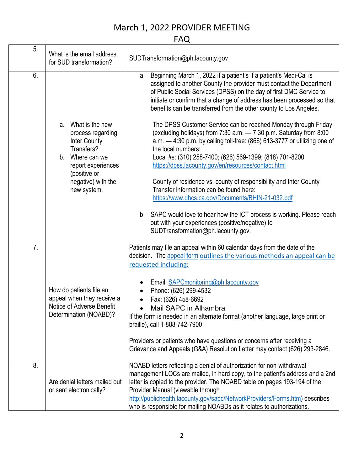FAQ

| 5. | What is the email address<br>for SUD transformation?                                                                                                                      | SUDTransformation@ph.lacounty.gov                                                                                                                                                                                                                                                                                                                                                                                                                                                                                                                                                                                                                                                                                                                                                                                                                                                                                                                                                                                                                                              |
|----|---------------------------------------------------------------------------------------------------------------------------------------------------------------------------|--------------------------------------------------------------------------------------------------------------------------------------------------------------------------------------------------------------------------------------------------------------------------------------------------------------------------------------------------------------------------------------------------------------------------------------------------------------------------------------------------------------------------------------------------------------------------------------------------------------------------------------------------------------------------------------------------------------------------------------------------------------------------------------------------------------------------------------------------------------------------------------------------------------------------------------------------------------------------------------------------------------------------------------------------------------------------------|
| 6. | What is the new<br>а.<br>process regarding<br>Inter County<br>Transfers?<br>b.<br>Where can we<br>report experiences<br>(positive or<br>negative) with the<br>new system. | Beginning March 1, 2022 if a patient's If a patient's Medi-Cal is<br>а.<br>assigned to another County the provider must contact the Department<br>of Public Social Services (DPSS) on the day of first DMC Service to<br>initiate or confirm that a change of address has been processed so that<br>benefits can be transferred from the other county to Los Angeles.<br>The DPSS Customer Service can be reached Monday through Friday<br>(excluding holidays) from 7:30 a.m. - 7:30 p.m. Saturday from 8:00<br>$a.m. -4:30 p.m.$ by calling toll-free: (866) 613-3777 or utilizing one of<br>the local numbers:<br>Local #s: (310) 258-7400; (626) 569-1399; (818) 701-8200<br>https://dpss.lacounty.gov/en/resources/contact.html<br>County of residence vs. county of responsibility and Inter County<br>Transfer information can be found here:<br>https://www.dhcs.ca.gov/Documents/BHIN-21-032.pdf<br>b. SAPC would love to hear how the ICT process is working. Please reach<br>out with your experiences (positive/negative) to<br>SUDTransformation@ph.lacounty.gov. |
| 7. | How do patients file an<br>appeal when they receive a<br>Notice of Adverse Benefit<br>Determination (NOABD)?                                                              | Patients may file an appeal within 60 calendar days from the date of the<br>decision. The appeal form outlines the various methods an appeal can be<br>requested including:<br>Email: SAPCmonitoring@ph.lacounty.gov<br>Phone: (626) 299-4532<br>Fax: (626) 458-6692<br>Mail SAPC in Alhambra<br>If the form is needed in an alternate format (another language, large print or<br>braille), call 1-888-742-7900<br>Providers or patients who have questions or concerns after receiving a<br>Grievance and Appeals (G&A) Resolution Letter may contact (626) 293-2846.                                                                                                                                                                                                                                                                                                                                                                                                                                                                                                        |
| 8. | Are denial letters mailed out<br>or sent electronically?                                                                                                                  | NOABD letters reflecting a denial of authorization for non-withdrawal<br>management LOCs are mailed, in hard copy, to the patient's address and a 2nd<br>letter is copied to the provider. The NOABD table on pages 193-194 of the<br>Provider Manual (viewable through<br>http://publichealth.lacounty.gov/sapc/NetworkProviders/Forms.htm) describes<br>who is responsible for mailing NOABDs as it relates to authorizations.                                                                                                                                                                                                                                                                                                                                                                                                                                                                                                                                                                                                                                               |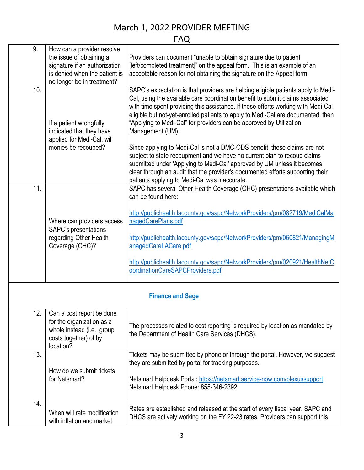FAQ

| 9.                      | How can a provider resolve                                                                                                 |                                                                                                                                                                                                                                                                                                                                                                                                                                                                                                                                                                                                                                                                                                                                                                                                                |  |
|-------------------------|----------------------------------------------------------------------------------------------------------------------------|----------------------------------------------------------------------------------------------------------------------------------------------------------------------------------------------------------------------------------------------------------------------------------------------------------------------------------------------------------------------------------------------------------------------------------------------------------------------------------------------------------------------------------------------------------------------------------------------------------------------------------------------------------------------------------------------------------------------------------------------------------------------------------------------------------------|--|
|                         | the issue of obtaining a                                                                                                   | Providers can document "unable to obtain signature due to patient                                                                                                                                                                                                                                                                                                                                                                                                                                                                                                                                                                                                                                                                                                                                              |  |
|                         | signature if an authorization                                                                                              | [left/completed treatment]" on the appeal form. This is an example of an                                                                                                                                                                                                                                                                                                                                                                                                                                                                                                                                                                                                                                                                                                                                       |  |
|                         | is denied when the patient is                                                                                              | acceptable reason for not obtaining the signature on the Appeal form.                                                                                                                                                                                                                                                                                                                                                                                                                                                                                                                                                                                                                                                                                                                                          |  |
|                         | no longer be in treatment?                                                                                                 |                                                                                                                                                                                                                                                                                                                                                                                                                                                                                                                                                                                                                                                                                                                                                                                                                |  |
| 10.                     | If a patient wrongfully<br>indicated that they have<br>applied for Medi-Cal, will<br>monies be recouped?                   | SAPC's expectation is that providers are helping eligible patients apply to Medi-<br>Cal, using the available care coordination benefit to submit claims associated<br>with time spent providing this assistance. If these efforts working with Medi-Cal<br>eligible but not-yet-enrolled patients to apply to Medi-Cal are documented, then<br>"Applying to Medi-Cal" for providers can be approved by Utilization<br>Management (UM).<br>Since applying to Medi-Cal is not a DMC-ODS benefit, these claims are not<br>subject to state recoupment and we have no current plan to recoup claims<br>submitted under 'Applying to Medi-Cal' approved by UM unless it becomes<br>clear through an audit that the provider's documented efforts supporting their<br>patients applying to Medi-Cal was inaccurate. |  |
| 11.                     |                                                                                                                            | SAPC has several Other Health Coverage (OHC) presentations available which<br>can be found here:                                                                                                                                                                                                                                                                                                                                                                                                                                                                                                                                                                                                                                                                                                               |  |
|                         | Where can providers access<br>SAPC's presentations<br>regarding Other Health<br>Coverage (OHC)?                            | http://publichealth.lacounty.gov/sapc/NetworkProviders/pm/082719/MediCalMa<br>nagedCarePlans.pdf<br>http://publichealth.lacounty.gov/sapc/NetworkProviders/pm/060821/ManagingM<br>anagedCareLACare.pdf<br>http://publichealth.lacounty.gov/sapc/NetworkProviders/pm/020921/HealthNetC<br>oordinationCareSAPCProviders.pdf                                                                                                                                                                                                                                                                                                                                                                                                                                                                                      |  |
| <b>Finance and Sage</b> |                                                                                                                            |                                                                                                                                                                                                                                                                                                                                                                                                                                                                                                                                                                                                                                                                                                                                                                                                                |  |
| 12.                     | Can a cost report be done<br>for the organization as a<br>whole instead (i.e., group<br>costs together) of by<br>location? | The processes related to cost reporting is required by location as mandated by<br>the Department of Health Care Services (DHCS).                                                                                                                                                                                                                                                                                                                                                                                                                                                                                                                                                                                                                                                                               |  |
| 13.                     | How do we submit tickets<br>for Netsmart?                                                                                  | Tickets may be submitted by phone or through the portal. However, we suggest<br>they are submitted by portal for tracking purposes.<br>Netsmart Helpdesk Portal: https://netsmart.service-now.com/plexussupport<br>Netsmart Helpdesk Phone: 855-346-2392                                                                                                                                                                                                                                                                                                                                                                                                                                                                                                                                                       |  |
| 14.                     | When will rate modification<br>with inflation and market                                                                   | Rates are established and released at the start of every fiscal year. SAPC and<br>DHCS are actively working on the FY 22-23 rates. Providers can support this                                                                                                                                                                                                                                                                                                                                                                                                                                                                                                                                                                                                                                                  |  |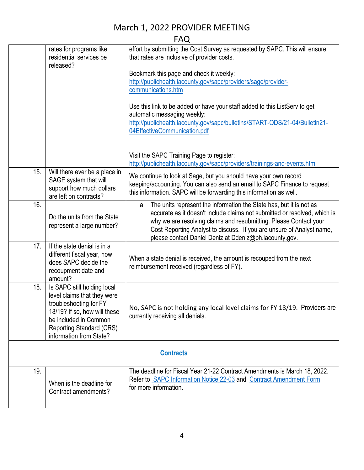FAQ

|                  | rates for programs like         | effort by submitting the Cost Survey as requested by SAPC. This will ensure |  |  |
|------------------|---------------------------------|-----------------------------------------------------------------------------|--|--|
|                  | residential services be         | that rates are inclusive of provider costs.                                 |  |  |
|                  | released?                       |                                                                             |  |  |
|                  |                                 |                                                                             |  |  |
|                  |                                 | Bookmark this page and check it weekly:                                     |  |  |
|                  |                                 | http://publichealth.lacounty.gov/sapc/providers/sage/provider-              |  |  |
|                  |                                 | communications.htm                                                          |  |  |
|                  |                                 |                                                                             |  |  |
|                  |                                 | Use this link to be added or have your staff added to this ListServ to get  |  |  |
|                  |                                 | automatic messaging weekly:                                                 |  |  |
|                  |                                 | http://publichealth.lacounty.gov/sapc/bulletins/START-ODS/21-04/Bulletin21- |  |  |
|                  |                                 | 04EffectiveCommunication.pdf                                                |  |  |
|                  |                                 |                                                                             |  |  |
|                  |                                 |                                                                             |  |  |
|                  |                                 | Visit the SAPC Training Page to register:                                   |  |  |
|                  |                                 | http://publichealth.lacounty.gov/sapc/providers/trainings-and-events.htm    |  |  |
| 15.              | Will there ever be a place in   | We continue to look at Sage, but you should have your own record            |  |  |
|                  | SAGE system that will           | keeping/accounting. You can also send an email to SAPC Finance to request   |  |  |
|                  | support how much dollars        | this information. SAPC will be forwarding this information as well.         |  |  |
|                  | are left on contracts?          |                                                                             |  |  |
| 16.              |                                 | a. The units represent the information the State has, but it is not as      |  |  |
|                  | Do the units from the State     | accurate as it doesn't include claims not submitted or resolved, which is   |  |  |
|                  | represent a large number?       | why we are resolving claims and resubmitting. Please Contact your           |  |  |
|                  |                                 | Cost Reporting Analyst to discuss. If you are unsure of Analyst name,       |  |  |
|                  |                                 | please contact Daniel Deniz at Ddeniz@ph.lacounty.gov.                      |  |  |
| 17.              | If the state denial is in a     |                                                                             |  |  |
|                  | different fiscal year, how      | When a state denial is received, the amount is recouped from the next       |  |  |
|                  | does SAPC decide the            | reimbursement received (regardless of FY).                                  |  |  |
|                  | recoupment date and             |                                                                             |  |  |
|                  | amount?                         |                                                                             |  |  |
| 18.              | Is SAPC still holding local     |                                                                             |  |  |
|                  | level claims that they were     |                                                                             |  |  |
|                  | troubleshooting for FY          | No, SAPC is not holding any local level claims for FY 18/19. Providers are  |  |  |
|                  | 18/19? If so, how will these    | currently receiving all denials.                                            |  |  |
|                  | be included in Common           |                                                                             |  |  |
|                  | <b>Reporting Standard (CRS)</b> |                                                                             |  |  |
|                  | information from State?         |                                                                             |  |  |
|                  |                                 |                                                                             |  |  |
| <b>Contracts</b> |                                 |                                                                             |  |  |
| 19.              |                                 | The deadline for Fiscal Year 21-22 Contract Amendments is March 18, 2022.   |  |  |
|                  | When is the deadline for        | Refer to SAPC Information Notice 22-03 and Contract Amendment Form          |  |  |
|                  | Contract amendments?            | for more information.                                                       |  |  |
|                  |                                 |                                                                             |  |  |
|                  |                                 |                                                                             |  |  |